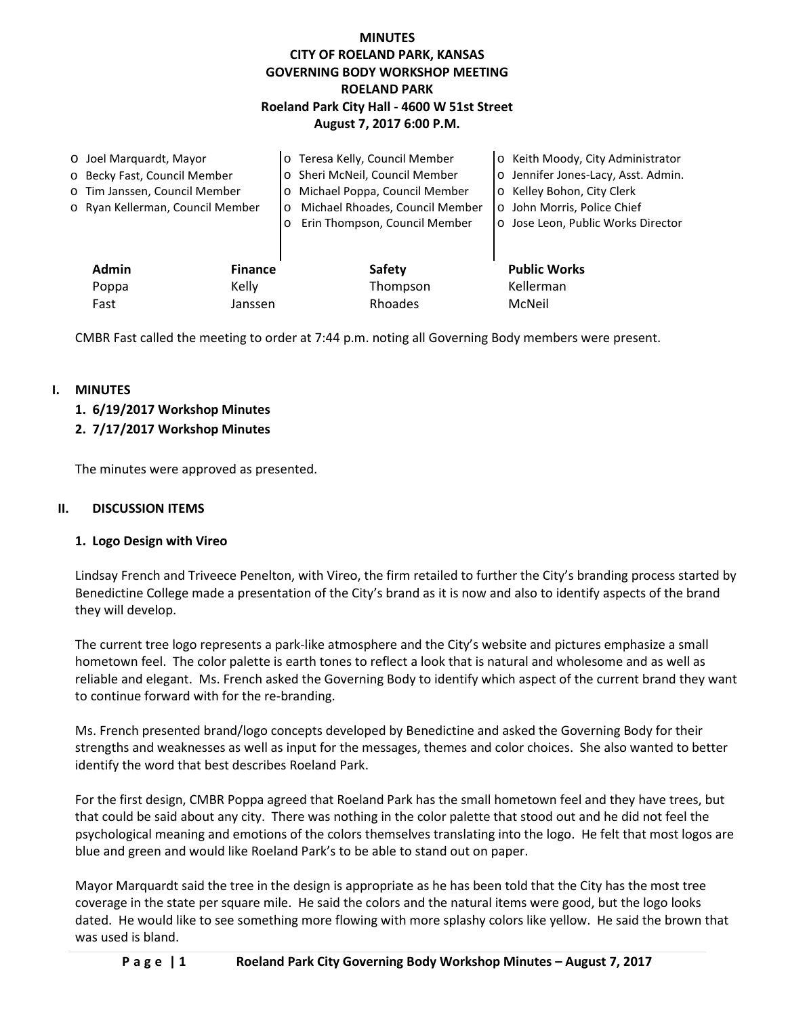# **MINUTES CITY OF ROELAND PARK, KANSAS GOVERNING BODY WORKSHOP MEETING ROELAND PARK Roeland Park City Hall - 4600 W 51st Street August 7, 2017 6:00 P.M.**

| O Joel Marquardt, Mayor      |                                  |                | o Teresa Kelly, Council Member             | o Keith Moody, City Administrator   |
|------------------------------|----------------------------------|----------------|--------------------------------------------|-------------------------------------|
| o Becky Fast, Council Member |                                  |                | o Sheri McNeil, Council Member             | o Jennifer Jones-Lacy, Asst. Admin. |
|                              | o Tim Janssen, Council Member    |                | Michael Poppa, Council Member<br>$\circ$   | o Kelley Bohon, City Clerk          |
|                              | o Ryan Kellerman, Council Member |                | Michael Rhoades, Council Member<br>$\circ$ | o John Morris, Police Chief         |
|                              |                                  |                | Erin Thompson, Council Member<br>$\circ$   | o Jose Leon, Public Works Director  |
|                              |                                  |                |                                            |                                     |
|                              | <b>Admin</b>                     | <b>Finance</b> | <b>Safety</b>                              | <b>Public Works</b>                 |
|                              | Poppa                            | Kelly          | Thompson                                   | Kellerman                           |
|                              | Fast                             | Janssen        | Rhoades                                    | McNeil                              |

CMBR Fast called the meeting to order at 7:44 p.m. noting all Governing Body members were present.

## **I. MINUTES**

- **1. 6/19/2017 Workshop Minutes**
- **2. 7/17/2017 Workshop Minutes**

The minutes were approved as presented.

### **II. DISCUSSION ITEMS**

#### **1. Logo Design with Vireo**

Lindsay French and Triveece Penelton, with Vireo, the firm retailed to further the City's branding process started by Benedictine College made a presentation of the City's brand as it is now and also to identify aspects of the brand they will develop.

The current tree logo represents a park-like atmosphere and the City's website and pictures emphasize a small hometown feel. The color palette is earth tones to reflect a look that is natural and wholesome and as well as reliable and elegant. Ms. French asked the Governing Body to identify which aspect of the current brand they want to continue forward with for the re-branding.

Ms. French presented brand/logo concepts developed by Benedictine and asked the Governing Body for their strengths and weaknesses as well as input for the messages, themes and color choices. She also wanted to better identify the word that best describes Roeland Park.

For the first design, CMBR Poppa agreed that Roeland Park has the small hometown feel and they have trees, but that could be said about any city. There was nothing in the color palette that stood out and he did not feel the psychological meaning and emotions of the colors themselves translating into the logo. He felt that most logos are blue and green and would like Roeland Park's to be able to stand out on paper.

Mayor Marquardt said the tree in the design is appropriate as he has been told that the City has the most tree coverage in the state per square mile. He said the colors and the natural items were good, but the logo looks dated. He would like to see something more flowing with more splashy colors like yellow. He said the brown that was used is bland.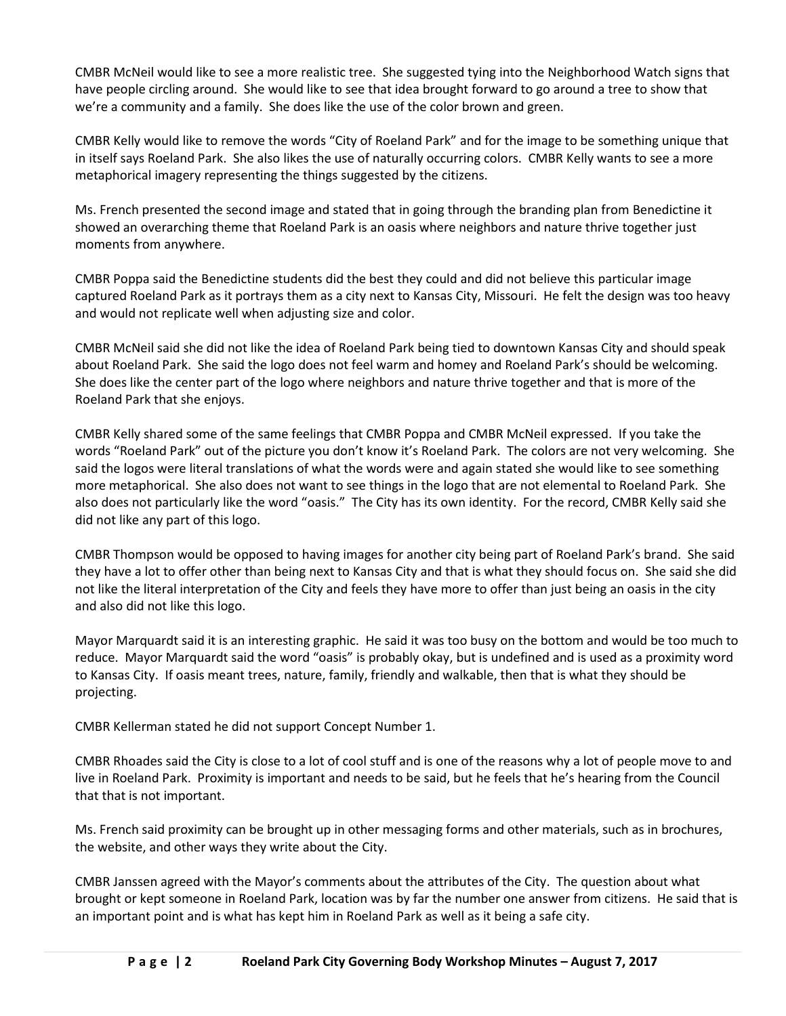CMBR McNeil would like to see a more realistic tree. She suggested tying into the Neighborhood Watch signs that have people circling around. She would like to see that idea brought forward to go around a tree to show that we're a community and a family. She does like the use of the color brown and green.

CMBR Kelly would like to remove the words "City of Roeland Park" and for the image to be something unique that in itself says Roeland Park. She also likes the use of naturally occurring colors. CMBR Kelly wants to see a more metaphorical imagery representing the things suggested by the citizens.

Ms. French presented the second image and stated that in going through the branding plan from Benedictine it showed an overarching theme that Roeland Park is an oasis where neighbors and nature thrive together just moments from anywhere.

CMBR Poppa said the Benedictine students did the best they could and did not believe this particular image captured Roeland Park as it portrays them as a city next to Kansas City, Missouri. He felt the design was too heavy and would not replicate well when adjusting size and color.

CMBR McNeil said she did not like the idea of Roeland Park being tied to downtown Kansas City and should speak about Roeland Park. She said the logo does not feel warm and homey and Roeland Park's should be welcoming. She does like the center part of the logo where neighbors and nature thrive together and that is more of the Roeland Park that she enjoys.

CMBR Kelly shared some of the same feelings that CMBR Poppa and CMBR McNeil expressed. If you take the words "Roeland Park" out of the picture you don't know it's Roeland Park. The colors are not very welcoming. She said the logos were literal translations of what the words were and again stated she would like to see something more metaphorical. She also does not want to see things in the logo that are not elemental to Roeland Park. She also does not particularly like the word "oasis." The City has its own identity. For the record, CMBR Kelly said she did not like any part of this logo.

CMBR Thompson would be opposed to having images for another city being part of Roeland Park's brand. She said they have a lot to offer other than being next to Kansas City and that is what they should focus on. She said she did not like the literal interpretation of the City and feels they have more to offer than just being an oasis in the city and also did not like this logo.

Mayor Marquardt said it is an interesting graphic. He said it was too busy on the bottom and would be too much to reduce. Mayor Marquardt said the word "oasis" is probably okay, but is undefined and is used as a proximity word to Kansas City. If oasis meant trees, nature, family, friendly and walkable, then that is what they should be projecting.

CMBR Kellerman stated he did not support Concept Number 1.

CMBR Rhoades said the City is close to a lot of cool stuff and is one of the reasons why a lot of people move to and live in Roeland Park. Proximity is important and needs to be said, but he feels that he's hearing from the Council that that is not important.

Ms. French said proximity can be brought up in other messaging forms and other materials, such as in brochures, the website, and other ways they write about the City.

CMBR Janssen agreed with the Mayor's comments about the attributes of the City. The question about what brought or kept someone in Roeland Park, location was by far the number one answer from citizens. He said that is an important point and is what has kept him in Roeland Park as well as it being a safe city.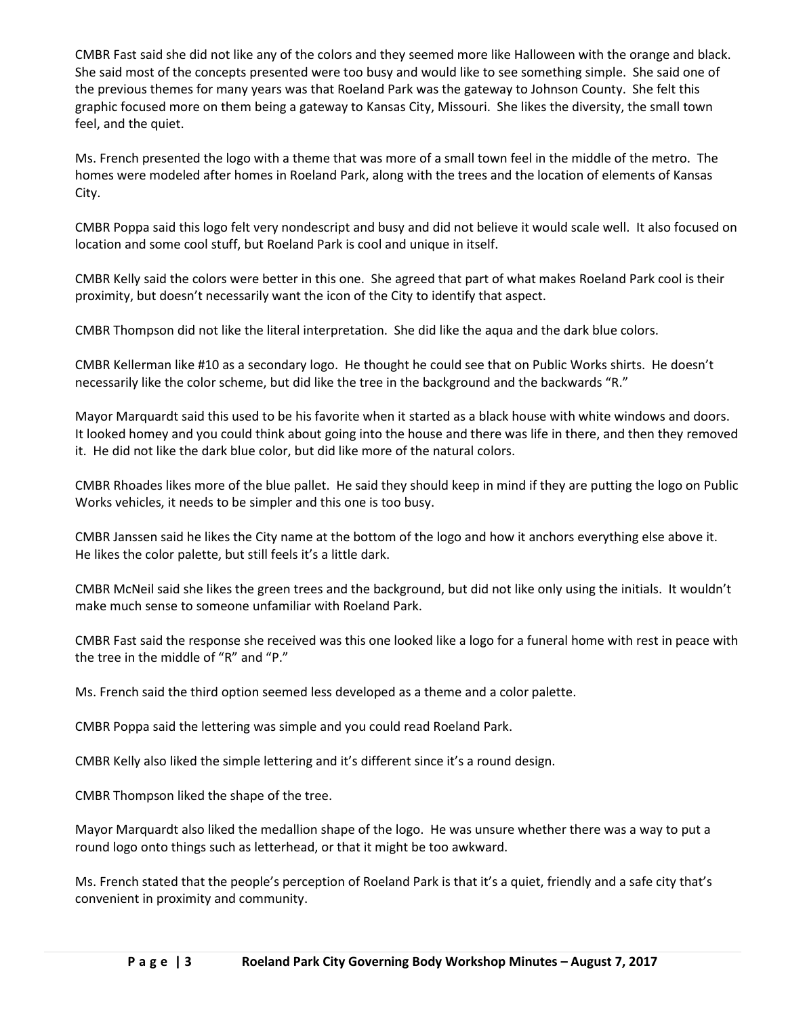CMBR Fast said she did not like any of the colors and they seemed more like Halloween with the orange and black. She said most of the concepts presented were too busy and would like to see something simple. She said one of the previous themes for many years was that Roeland Park was the gateway to Johnson County. She felt this graphic focused more on them being a gateway to Kansas City, Missouri. She likes the diversity, the small town feel, and the quiet.

Ms. French presented the logo with a theme that was more of a small town feel in the middle of the metro. The homes were modeled after homes in Roeland Park, along with the trees and the location of elements of Kansas City.

CMBR Poppa said this logo felt very nondescript and busy and did not believe it would scale well. It also focused on location and some cool stuff, but Roeland Park is cool and unique in itself.

CMBR Kelly said the colors were better in this one. She agreed that part of what makes Roeland Park cool is their proximity, but doesn't necessarily want the icon of the City to identify that aspect.

CMBR Thompson did not like the literal interpretation. She did like the aqua and the dark blue colors.

CMBR Kellerman like #10 as a secondary logo. He thought he could see that on Public Works shirts. He doesn't necessarily like the color scheme, but did like the tree in the background and the backwards "R."

Mayor Marquardt said this used to be his favorite when it started as a black house with white windows and doors. It looked homey and you could think about going into the house and there was life in there, and then they removed it. He did not like the dark blue color, but did like more of the natural colors.

CMBR Rhoades likes more of the blue pallet. He said they should keep in mind if they are putting the logo on Public Works vehicles, it needs to be simpler and this one is too busy.

CMBR Janssen said he likes the City name at the bottom of the logo and how it anchors everything else above it. He likes the color palette, but still feels it's a little dark.

CMBR McNeil said she likes the green trees and the background, but did not like only using the initials. It wouldn't make much sense to someone unfamiliar with Roeland Park.

CMBR Fast said the response she received was this one looked like a logo for a funeral home with rest in peace with the tree in the middle of "R" and "P."

Ms. French said the third option seemed less developed as a theme and a color palette.

CMBR Poppa said the lettering was simple and you could read Roeland Park.

CMBR Kelly also liked the simple lettering and it's different since it's a round design.

CMBR Thompson liked the shape of the tree.

Mayor Marquardt also liked the medallion shape of the logo. He was unsure whether there was a way to put a round logo onto things such as letterhead, or that it might be too awkward.

Ms. French stated that the people's perception of Roeland Park is that it's a quiet, friendly and a safe city that's convenient in proximity and community.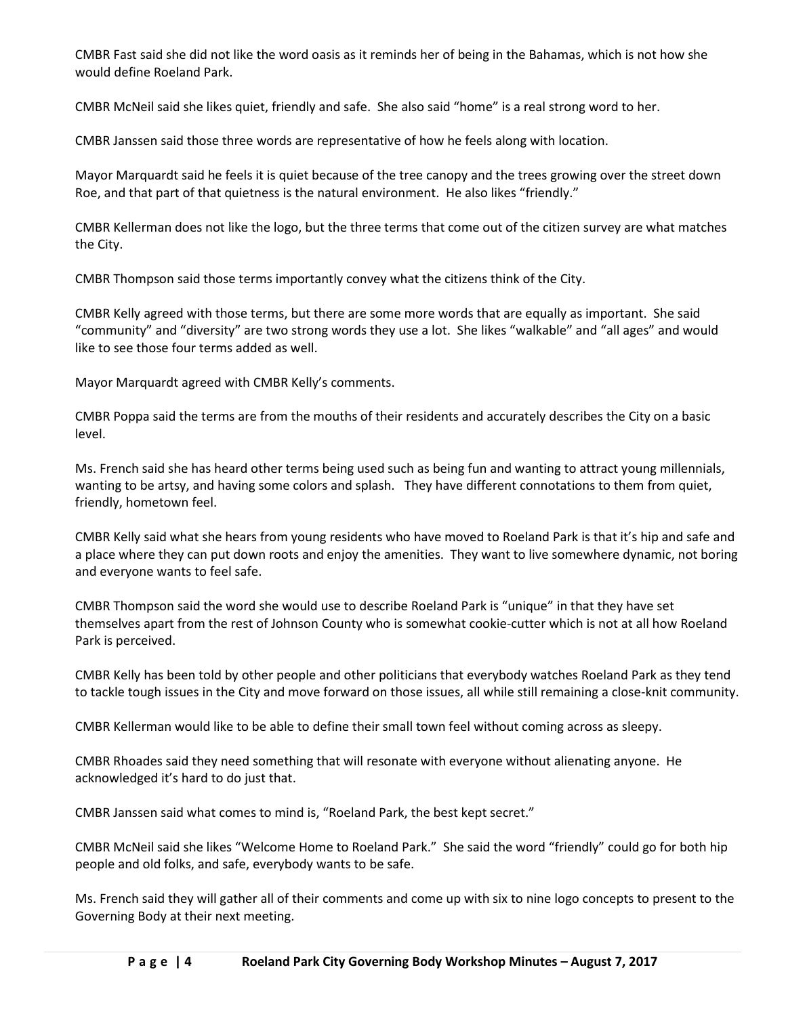CMBR Fast said she did not like the word oasis as it reminds her of being in the Bahamas, which is not how she would define Roeland Park.

CMBR McNeil said she likes quiet, friendly and safe. She also said "home" is a real strong word to her.

CMBR Janssen said those three words are representative of how he feels along with location.

Mayor Marquardt said he feels it is quiet because of the tree canopy and the trees growing over the street down Roe, and that part of that quietness is the natural environment. He also likes "friendly."

CMBR Kellerman does not like the logo, but the three terms that come out of the citizen survey are what matches the City.

CMBR Thompson said those terms importantly convey what the citizens think of the City.

CMBR Kelly agreed with those terms, but there are some more words that are equally as important. She said "community" and "diversity" are two strong words they use a lot. She likes "walkable" and "all ages" and would like to see those four terms added as well.

Mayor Marquardt agreed with CMBR Kelly's comments.

CMBR Poppa said the terms are from the mouths of their residents and accurately describes the City on a basic level.

Ms. French said she has heard other terms being used such as being fun and wanting to attract young millennials, wanting to be artsy, and having some colors and splash. They have different connotations to them from quiet, friendly, hometown feel.

CMBR Kelly said what she hears from young residents who have moved to Roeland Park is that it's hip and safe and a place where they can put down roots and enjoy the amenities. They want to live somewhere dynamic, not boring and everyone wants to feel safe.

CMBR Thompson said the word she would use to describe Roeland Park is "unique" in that they have set themselves apart from the rest of Johnson County who is somewhat cookie-cutter which is not at all how Roeland Park is perceived.

CMBR Kelly has been told by other people and other politicians that everybody watches Roeland Park as they tend to tackle tough issues in the City and move forward on those issues, all while still remaining a close-knit community.

CMBR Kellerman would like to be able to define their small town feel without coming across as sleepy.

CMBR Rhoades said they need something that will resonate with everyone without alienating anyone. He acknowledged it's hard to do just that.

CMBR Janssen said what comes to mind is, "Roeland Park, the best kept secret."

CMBR McNeil said she likes "Welcome Home to Roeland Park." She said the word "friendly" could go for both hip people and old folks, and safe, everybody wants to be safe.

Ms. French said they will gather all of their comments and come up with six to nine logo concepts to present to the Governing Body at their next meeting.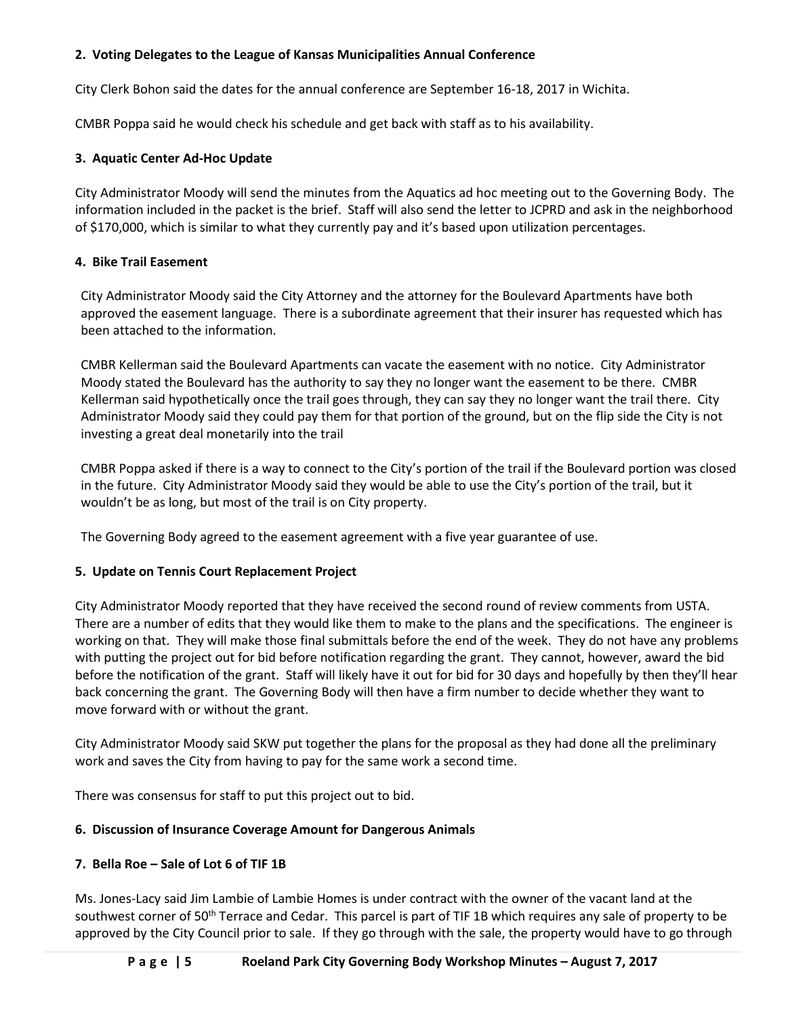## **2. Voting Delegates to the League of Kansas Municipalities Annual Conference**

City Clerk Bohon said the dates for the annual conference are September 16-18, 2017 in Wichita.

CMBR Poppa said he would check his schedule and get back with staff as to his availability.

## **3. Aquatic Center Ad-Hoc Update**

City Administrator Moody will send the minutes from the Aquatics ad hoc meeting out to the Governing Body. The information included in the packet is the brief. Staff will also send the letter to JCPRD and ask in the neighborhood of \$170,000, which is similar to what they currently pay and it's based upon utilization percentages.

## **4. Bike Trail Easement**

City Administrator Moody said the City Attorney and the attorney for the Boulevard Apartments have both approved the easement language. There is a subordinate agreement that their insurer has requested which has been attached to the information.

CMBR Kellerman said the Boulevard Apartments can vacate the easement with no notice. City Administrator Moody stated the Boulevard has the authority to say they no longer want the easement to be there. CMBR Kellerman said hypothetically once the trail goes through, they can say they no longer want the trail there. City Administrator Moody said they could pay them for that portion of the ground, but on the flip side the City is not investing a great deal monetarily into the trail

CMBR Poppa asked if there is a way to connect to the City's portion of the trail if the Boulevard portion was closed in the future. City Administrator Moody said they would be able to use the City's portion of the trail, but it wouldn't be as long, but most of the trail is on City property.

The Governing Body agreed to the easement agreement with a five year guarantee of use.

# **5. Update on Tennis Court Replacement Project**

City Administrator Moody reported that they have received the second round of review comments from USTA. There are a number of edits that they would like them to make to the plans and the specifications. The engineer is working on that. They will make those final submittals before the end of the week. They do not have any problems with putting the project out for bid before notification regarding the grant. They cannot, however, award the bid before the notification of the grant. Staff will likely have it out for bid for 30 days and hopefully by then they'll hear back concerning the grant. The Governing Body will then have a firm number to decide whether they want to move forward with or without the grant.

City Administrator Moody said SKW put together the plans for the proposal as they had done all the preliminary work and saves the City from having to pay for the same work a second time.

There was consensus for staff to put this project out to bid.

# **6. Discussion of Insurance Coverage Amount for Dangerous Animals**

# **7. Bella Roe – Sale of Lot 6 of TIF 1B**

Ms. Jones-Lacy said Jim Lambie of Lambie Homes is under contract with the owner of the vacant land at the southwest corner of 50<sup>th</sup> Terrace and Cedar. This parcel is part of TIF 1B which requires any sale of property to be approved by the City Council prior to sale. If they go through with the sale, the property would have to go through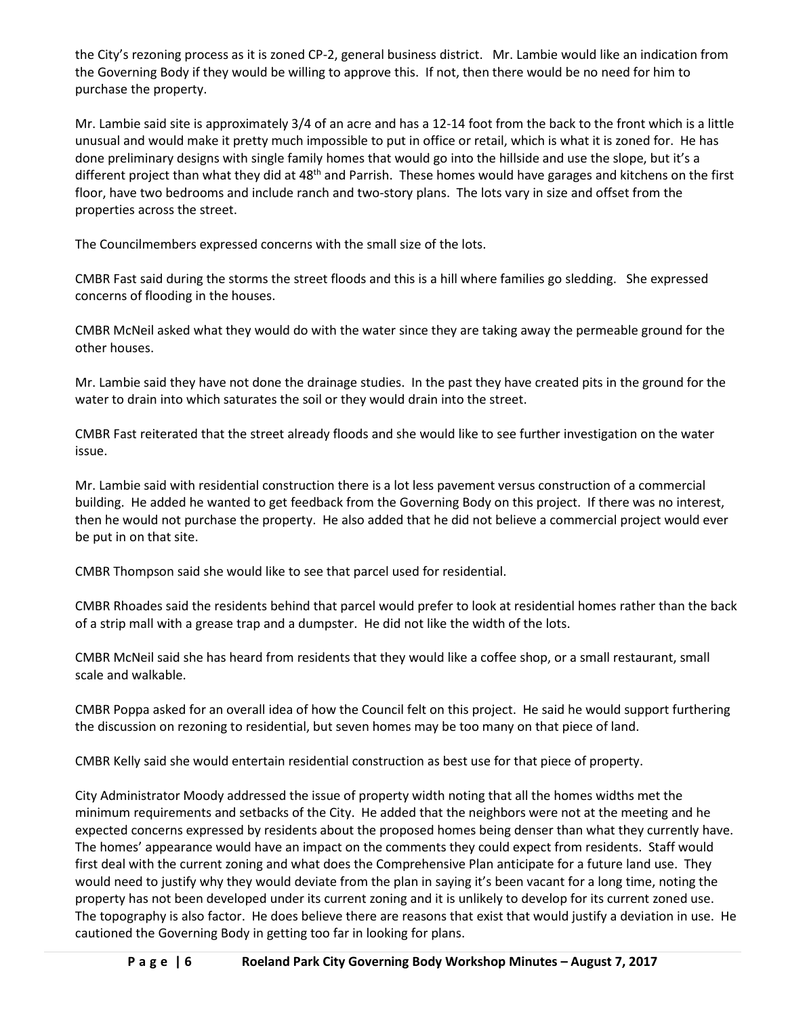the City's rezoning process as it is zoned CP-2, general business district. Mr. Lambie would like an indication from the Governing Body if they would be willing to approve this. If not, then there would be no need for him to purchase the property.

Mr. Lambie said site is approximately 3/4 of an acre and has a 12-14 foot from the back to the front which is a little unusual and would make it pretty much impossible to put in office or retail, which is what it is zoned for. He has done preliminary designs with single family homes that would go into the hillside and use the slope, but it's a different project than what they did at 48<sup>th</sup> and Parrish. These homes would have garages and kitchens on the first floor, have two bedrooms and include ranch and two-story plans. The lots vary in size and offset from the properties across the street.

The Councilmembers expressed concerns with the small size of the lots.

CMBR Fast said during the storms the street floods and this is a hill where families go sledding. She expressed concerns of flooding in the houses.

CMBR McNeil asked what they would do with the water since they are taking away the permeable ground for the other houses.

Mr. Lambie said they have not done the drainage studies. In the past they have created pits in the ground for the water to drain into which saturates the soil or they would drain into the street.

CMBR Fast reiterated that the street already floods and she would like to see further investigation on the water issue.

Mr. Lambie said with residential construction there is a lot less pavement versus construction of a commercial building. He added he wanted to get feedback from the Governing Body on this project. If there was no interest, then he would not purchase the property. He also added that he did not believe a commercial project would ever be put in on that site.

CMBR Thompson said she would like to see that parcel used for residential.

CMBR Rhoades said the residents behind that parcel would prefer to look at residential homes rather than the back of a strip mall with a grease trap and a dumpster. He did not like the width of the lots.

CMBR McNeil said she has heard from residents that they would like a coffee shop, or a small restaurant, small scale and walkable.

CMBR Poppa asked for an overall idea of how the Council felt on this project. He said he would support furthering the discussion on rezoning to residential, but seven homes may be too many on that piece of land.

CMBR Kelly said she would entertain residential construction as best use for that piece of property.

City Administrator Moody addressed the issue of property width noting that all the homes widths met the minimum requirements and setbacks of the City. He added that the neighbors were not at the meeting and he expected concerns expressed by residents about the proposed homes being denser than what they currently have. The homes' appearance would have an impact on the comments they could expect from residents. Staff would first deal with the current zoning and what does the Comprehensive Plan anticipate for a future land use. They would need to justify why they would deviate from the plan in saying it's been vacant for a long time, noting the property has not been developed under its current zoning and it is unlikely to develop for its current zoned use. The topography is also factor. He does believe there are reasons that exist that would justify a deviation in use. He cautioned the Governing Body in getting too far in looking for plans.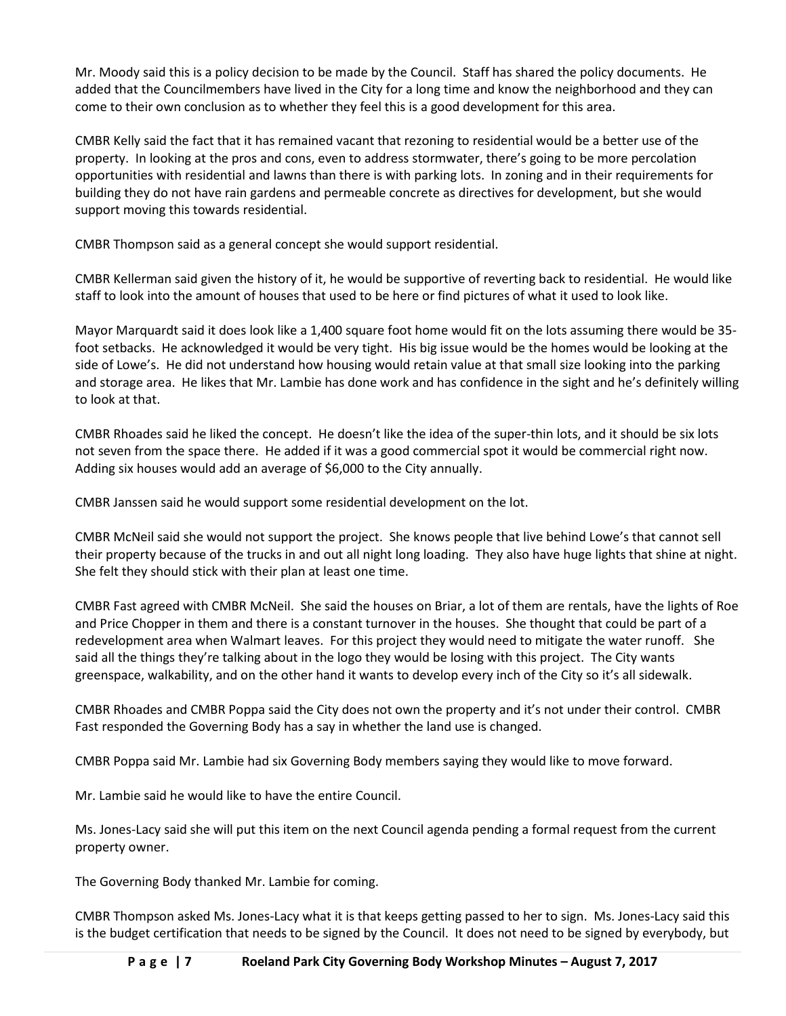Mr. Moody said this is a policy decision to be made by the Council. Staff has shared the policy documents. He added that the Councilmembers have lived in the City for a long time and know the neighborhood and they can come to their own conclusion as to whether they feel this is a good development for this area.

CMBR Kelly said the fact that it has remained vacant that rezoning to residential would be a better use of the property. In looking at the pros and cons, even to address stormwater, there's going to be more percolation opportunities with residential and lawns than there is with parking lots. In zoning and in their requirements for building they do not have rain gardens and permeable concrete as directives for development, but she would support moving this towards residential.

CMBR Thompson said as a general concept she would support residential.

CMBR Kellerman said given the history of it, he would be supportive of reverting back to residential. He would like staff to look into the amount of houses that used to be here or find pictures of what it used to look like.

Mayor Marquardt said it does look like a 1,400 square foot home would fit on the lots assuming there would be 35 foot setbacks. He acknowledged it would be very tight. His big issue would be the homes would be looking at the side of Lowe's. He did not understand how housing would retain value at that small size looking into the parking and storage area. He likes that Mr. Lambie has done work and has confidence in the sight and he's definitely willing to look at that.

CMBR Rhoades said he liked the concept. He doesn't like the idea of the super-thin lots, and it should be six lots not seven from the space there. He added if it was a good commercial spot it would be commercial right now. Adding six houses would add an average of \$6,000 to the City annually.

CMBR Janssen said he would support some residential development on the lot.

CMBR McNeil said she would not support the project. She knows people that live behind Lowe's that cannot sell their property because of the trucks in and out all night long loading. They also have huge lights that shine at night. She felt they should stick with their plan at least one time.

CMBR Fast agreed with CMBR McNeil. She said the houses on Briar, a lot of them are rentals, have the lights of Roe and Price Chopper in them and there is a constant turnover in the houses. She thought that could be part of a redevelopment area when Walmart leaves. For this project they would need to mitigate the water runoff. She said all the things they're talking about in the logo they would be losing with this project. The City wants greenspace, walkability, and on the other hand it wants to develop every inch of the City so it's all sidewalk.

CMBR Rhoades and CMBR Poppa said the City does not own the property and it's not under their control. CMBR Fast responded the Governing Body has a say in whether the land use is changed.

CMBR Poppa said Mr. Lambie had six Governing Body members saying they would like to move forward.

Mr. Lambie said he would like to have the entire Council.

Ms. Jones-Lacy said she will put this item on the next Council agenda pending a formal request from the current property owner.

The Governing Body thanked Mr. Lambie for coming.

CMBR Thompson asked Ms. Jones-Lacy what it is that keeps getting passed to her to sign. Ms. Jones-Lacy said this is the budget certification that needs to be signed by the Council. It does not need to be signed by everybody, but